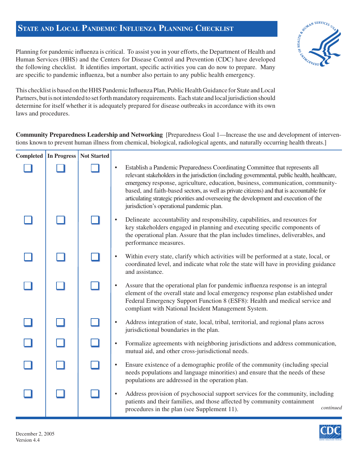## **STATE AND LOCAL PANDEMIC INFLUENZA PLANNING CHECKLIST**



Planning for pandemic influenza is critical. To assist you in your efforts, the Department of Health and Human Services (HHS) and the Centers for Disease Control and Prevention (CDC) have developed the following checklist. It identifies important, specific activities you can do now to prepare. Many are specific to pandemic influenza, but a number also pertain to any public health emergency.

This checklist is based on the HHS Pandemic Influenza Plan, Public Health Guidance for State and Local Partners, but is not intended to set forth mandatory requirements. Each state and local jurisdiction should determine for itself whether it is adequately prepared for disease outbreaks in accordance with its own laws and procedures.

**Community Preparedness Leadership and Networking** [Preparedness Goal 1—Increase the use and development of interventions known to prevent human illness from chemical, biological, radiological agents, and naturally occurring health threats.]

| <b>Completed</b> | In Progress | <b>Not Started</b> |           |                                                                                                                                                                                                                                                                                                                                                                                                                                                                                                    |
|------------------|-------------|--------------------|-----------|----------------------------------------------------------------------------------------------------------------------------------------------------------------------------------------------------------------------------------------------------------------------------------------------------------------------------------------------------------------------------------------------------------------------------------------------------------------------------------------------------|
|                  |             |                    |           | Establish a Pandemic Preparedness Coordinating Committee that represents all<br>relevant stakeholders in the jurisdiction (including governmental, public health, healthcare,<br>emergency response, agriculture, education, business, communication, community-<br>based, and faith-based sectors, as well as private citizens) and that is accountable for<br>articulating strategic priorities and overseeing the development and execution of the<br>jurisdiction's operational pandemic plan. |
|                  |             |                    |           | Delineate accountability and responsibility, capabilities, and resources for<br>key stakeholders engaged in planning and executing specific components of<br>the operational plan. Assure that the plan includes timelines, deliverables, and<br>performance measures.                                                                                                                                                                                                                             |
|                  |             |                    |           | Within every state, clarify which activities will be performed at a state, local, or<br>coordinated level, and indicate what role the state will have in providing guidance<br>and assistance.                                                                                                                                                                                                                                                                                                     |
|                  |             |                    |           | Assure that the operational plan for pandemic influenza response is an integral<br>element of the overall state and local emergency response plan established under<br>Federal Emergency Support Function 8 (ESF8): Health and medical service and<br>compliant with National Incident Management System.                                                                                                                                                                                          |
|                  |             |                    |           | Address integration of state, local, tribal, territorial, and regional plans across<br>jurisdictional boundaries in the plan.                                                                                                                                                                                                                                                                                                                                                                      |
|                  |             |                    | $\bullet$ | Formalize agreements with neighboring jurisdictions and address communication,<br>mutual aid, and other cross-jurisdictional needs.                                                                                                                                                                                                                                                                                                                                                                |
|                  |             |                    | $\bullet$ | Ensure existence of a demographic profile of the community (including special<br>needs populations and language minorities) and ensure that the needs of these<br>populations are addressed in the operation plan.                                                                                                                                                                                                                                                                                 |
|                  |             |                    |           | Address provision of psychosocial support services for the community, including<br>patients and their families, and those affected by community containment<br>continued<br>procedures in the plan (see Supplement 11).                                                                                                                                                                                                                                                                            |

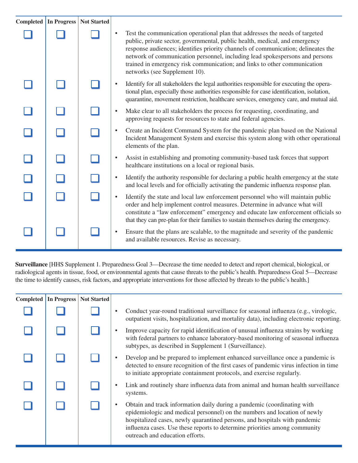| Completed In Progress | <b>Not Started</b> |           |                                                                                                                                                                                                                                                                                                                                                                                                                                                |
|-----------------------|--------------------|-----------|------------------------------------------------------------------------------------------------------------------------------------------------------------------------------------------------------------------------------------------------------------------------------------------------------------------------------------------------------------------------------------------------------------------------------------------------|
|                       |                    |           | Test the communication operational plan that addresses the needs of targeted<br>public, private sector, governmental, public health, medical, and emergency<br>response audiences; identifies priority channels of communication; delineates the<br>network of communication personnel, including lead spokespersons and persons<br>trained in emergency risk communication; and links to other communication<br>networks (see Supplement 10). |
|                       |                    |           | Identify for all stakeholders the legal authorities responsible for executing the opera-<br>tional plan, especially those authorities responsible for case identification, isolation,<br>quarantine, movement restriction, healthcare services, emergency care, and mutual aid.                                                                                                                                                                |
|                       |                    | $\bullet$ | Make clear to all stakeholders the process for requesting, coordinating, and<br>approving requests for resources to state and federal agencies.                                                                                                                                                                                                                                                                                                |
|                       |                    |           | Create an Incident Command System for the pandemic plan based on the National<br>Incident Management System and exercise this system along with other operational<br>elements of the plan.                                                                                                                                                                                                                                                     |
|                       |                    |           | Assist in establishing and promoting community-based task forces that support<br>healthcare institutions on a local or regional basis.                                                                                                                                                                                                                                                                                                         |
|                       |                    |           | Identify the authority responsible for declaring a public health emergency at the state<br>and local levels and for officially activating the pandemic influenza response plan.                                                                                                                                                                                                                                                                |
|                       |                    |           | Identify the state and local law enforcement personnel who will maintain public<br>order and help implement control measures. Determine in advance what will<br>constitute a "law enforcement" emergency and educate law enforcement officials so<br>that they can pre-plan for their families to sustain themselves during the emergency.                                                                                                     |
|                       |                    |           | Ensure that the plans are scalable, to the magnitude and severity of the pandemic<br>and available resources. Revise as necessary.                                                                                                                                                                                                                                                                                                             |

**Surveillance** [HHS Supplement 1. Preparedness Goal 3—Decrease the time needed to detect and report chemical, biological, or radiological agents in tissue, food, or environmental agents that cause threats to the public's health. Preparedness Goal 5—Decrease the time to identify causes, risk factors, and appropriate interventions for those affected by threats to the public's health.]

| Completed | In Progress | <b>Not Started</b> |                                                                                                                                                                                                                                                                                                                                                     |
|-----------|-------------|--------------------|-----------------------------------------------------------------------------------------------------------------------------------------------------------------------------------------------------------------------------------------------------------------------------------------------------------------------------------------------------|
|           |             |                    | Conduct year-round traditional surveillance for seasonal influenza (e.g., virologic,<br>outpatient visits, hospitalization, and mortality data), including electronic reporting.                                                                                                                                                                    |
|           |             |                    | Improve capacity for rapid identification of unusual influenza strains by working<br>with federal partners to enhance laboratory-based monitoring of seasonal influenza<br>subtypes, as described in Supplement 1 (Surveillance).                                                                                                                   |
|           |             |                    | Develop and be prepared to implement enhanced surveillance once a pandemic is<br>detected to ensure recognition of the first cases of pandemic virus infection in time<br>to initiate appropriate containment protocols, and exercise regularly.                                                                                                    |
|           |             |                    | Link and routinely share influenza data from animal and human health surveillance<br>systems.                                                                                                                                                                                                                                                       |
|           |             |                    | Obtain and track information daily during a pandemic (coordinating with<br>epidemiologic and medical personnel) on the numbers and location of newly<br>hospitalized cases, newly quarantined persons, and hospitals with pandemic<br>influenza cases. Use these reports to determine priorities among community<br>outreach and education efforts. |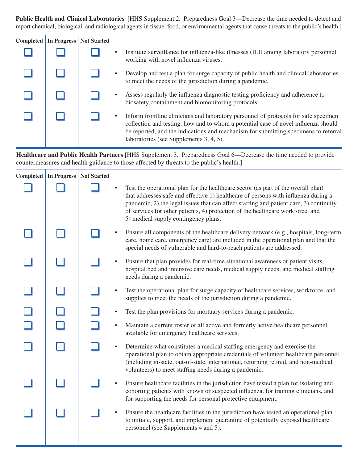**Public Health and Clinical Laboratories** [HHS Supplement 2. Preparedness Goal 3—Decrease the time needed to detect and report chemical, biological, and radiological agents in tissue, food, or environmental agents that cause threats to the public's health.]

| <b>Completed</b> | <b>In Progress</b> | <b>Not Started</b> |                                                                                                                                                                                                                                                                                                             |
|------------------|--------------------|--------------------|-------------------------------------------------------------------------------------------------------------------------------------------------------------------------------------------------------------------------------------------------------------------------------------------------------------|
|                  |                    |                    | Institute surveillance for influenza-like illnesses (ILI) among laboratory personnel<br>working with novel influenza viruses.                                                                                                                                                                               |
|                  |                    |                    | Develop and test a plan for surge capacity of public health and clinical laboratories<br>to meet the needs of the jurisdiction during a pandemic.                                                                                                                                                           |
|                  |                    |                    | Assess regularly the influenza diagnostic testing proficiency and adherence to<br>biosafety containment and biomonitoring protocols.                                                                                                                                                                        |
|                  |                    |                    | Inform frontline clinicians and laboratory personnel of protocols for safe specimen<br>collection and testing, how and to whom a potential case of novel influenza should<br>be reported, and the indications and mechanism for submitting specimens to referral<br>laboratories (see Supplements 3, 4, 5). |

**Healthcare and Public Health Partners** [HHS Supplement 3. Preparedness Goal 6—Decrease the time needed to provide countermeasures and health guidance to those affected by threats to the public's health.]

| Completed In Progress | <b>Not Started</b> |           |                                                                                                                                                                                                                                                                                                                                                                                             |
|-----------------------|--------------------|-----------|---------------------------------------------------------------------------------------------------------------------------------------------------------------------------------------------------------------------------------------------------------------------------------------------------------------------------------------------------------------------------------------------|
|                       |                    |           | Test the operational plan for the healthcare sector (as part of the overall plan)<br>that addresses safe and effective 1) healthcare of persons with influenza during a<br>pandemic, 2) the legal issues that can affect staffing and patient care, 3) continuity<br>of services for other patients, 4) protection of the healthcare workforce, and<br>5) medical supply contingency plans. |
|                       |                    |           | Ensure all components of the healthcare delivery network (e.g., hospitals, long-term<br>care, home care, emergency care) are included in the operational plan and that the<br>special needs of vulnerable and hard-to-reach patients are addressed.                                                                                                                                         |
|                       |                    |           | Ensure that plan provides for real-time situational awareness of patient visits,<br>hospital bed and intensive care needs, medical supply needs, and medical staffing<br>needs during a pandemic.                                                                                                                                                                                           |
|                       |                    |           | Test the operational plan for surge capacity of healthcare services, workforce, and<br>supplies to meet the needs of the jurisdiction during a pandemic.                                                                                                                                                                                                                                    |
|                       |                    | $\bullet$ | Test the plan provisions for mortuary services during a pandemic.                                                                                                                                                                                                                                                                                                                           |
|                       |                    | $\bullet$ | Maintain a current roster of all active and formerly active healthcare personnel<br>available for emergency healthcare services.                                                                                                                                                                                                                                                            |
|                       |                    |           | Determine what constitutes a medical staffing emergency and exercise the<br>operational plan to obtain appropriate credentials of volunteer healthcare personnel<br>(including in-state, out-of-state, international, returning retired, and non-medical<br>volunteers) to meet staffing needs during a pandemic.                                                                           |
|                       |                    |           | Ensure healthcare facilities in the jurisdiction have tested a plan for isolating and<br>cohorting patients with known or suspected influenza, for training clinicians, and<br>for supporting the needs for personal protective equipment.                                                                                                                                                  |
|                       |                    |           | Ensure the healthcare facilities in the jurisdiction have tested an operational plan<br>to initiate, support, and implement quarantine of potentially exposed healthcare<br>personnel (see Supplements 4 and 5).                                                                                                                                                                            |
|                       |                    |           |                                                                                                                                                                                                                                                                                                                                                                                             |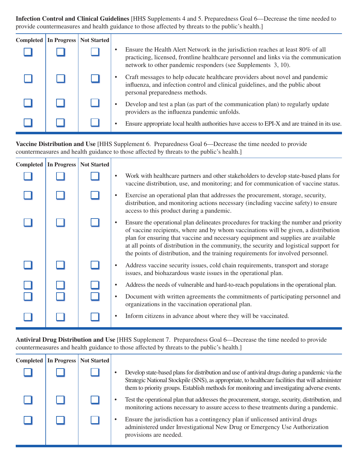**Infection Control and Clinical Guidelines** [HHS Supplements 4 and 5. Preparedness Goal 6—Decrease the time needed to provide countermeasures and health guidance to those affected by threats to the public's health.]

| Completed | In Progress | Not Started |                                                                                                                                                                                                                                          |
|-----------|-------------|-------------|------------------------------------------------------------------------------------------------------------------------------------------------------------------------------------------------------------------------------------------|
|           |             |             | Ensure the Health Alert Network in the jurisdiction reaches at least 80% of all<br>practicing, licensed, frontline healthcare personnel and links via the communication<br>network to other pandemic responders (see Supplements 3, 10). |
|           |             |             | Craft messages to help educate healthcare providers about novel and pandemic<br>influenza, and infection control and clinical guidelines, and the public about<br>personal preparedness methods.                                         |
|           |             |             | Develop and test a plan (as part of the communication plan) to regularly update<br>providers as the influenza pandemic unfolds.                                                                                                          |
|           |             |             | Ensure appropriate local health authorities have access to EPI-X and are trained in its use.                                                                                                                                             |

**Vaccine Distribution and Use** [HHS Supplement 6. Preparedness Goal 6—Decrease the time needed to provide countermeasures and health guidance to those affected by threats to the public's health.]

| Completed   In Progress | <b>Not Started</b> |   |                                                                                                                                                                                                                                                                                                                                                                                                                                                    |
|-------------------------|--------------------|---|----------------------------------------------------------------------------------------------------------------------------------------------------------------------------------------------------------------------------------------------------------------------------------------------------------------------------------------------------------------------------------------------------------------------------------------------------|
|                         |                    |   | Work with healthcare partners and other stakeholders to develop state-based plans for<br>vaccine distribution, use, and monitoring; and for communication of vaccine status.                                                                                                                                                                                                                                                                       |
|                         |                    |   | Exercise an operational plan that addresses the procurement, storage, security,<br>distribution, and monitoring actions necessary (including vaccine safety) to ensure<br>access to this product during a pandemic.                                                                                                                                                                                                                                |
|                         |                    |   | Ensure the operational plan delineates procedures for tracking the number and priority<br>of vaccine recipients, where and by whom vaccinations will be given, a distribution<br>plan for ensuring that vaccine and necessary equipment and supplies are available<br>at all points of distribution in the community, the security and logistical support for<br>the points of distribution, and the training requirements for involved personnel. |
|                         |                    |   | Address vaccine security issues, cold chain requirements, transport and storage<br>issues, and biohazardous waste issues in the operational plan.                                                                                                                                                                                                                                                                                                  |
|                         |                    | ٠ | Address the needs of vulnerable and hard-to-reach populations in the operational plan.                                                                                                                                                                                                                                                                                                                                                             |
|                         |                    |   | Document with written agreements the commitments of participating personnel and<br>organizations in the vaccination operational plan.                                                                                                                                                                                                                                                                                                              |
|                         |                    |   | Inform citizens in advance about where they will be vaccinated.                                                                                                                                                                                                                                                                                                                                                                                    |

**Antiviral Drug Distribution and Use** [HHS Supplement 7. Preparedness Goal 6—Decrease the time needed to provide countermeasures and health guidance to those affected by threats to the public's health.]

| Completed | In Progress | <b>Not Started</b> |                                                                                                                                                                                                                                                                                                     |
|-----------|-------------|--------------------|-----------------------------------------------------------------------------------------------------------------------------------------------------------------------------------------------------------------------------------------------------------------------------------------------------|
|           |             |                    | Develop state-based plans for distribution and use of antiviral drugs during a pandemic via the<br>Strategic National Stockpile (SNS), as appropriate, to healthcare facilities that will administer<br>them to priority groups. Establish methods for monitoring and investigating adverse events. |
|           |             |                    | Test the operational plan that addresses the procurement, storage, security, distribution, and<br>monitoring actions necessary to assure access to these treatments during a pandemic.                                                                                                              |
|           |             |                    | Ensure the jurisdiction has a contingency plan if unlicensed antiviral drugs<br>administered under Investigational New Drug or Emergency Use Authorization<br>provisions are needed.                                                                                                                |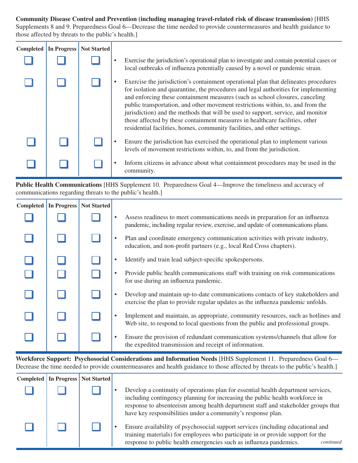**Community Disease Control and Prevention (including managing travel-related risk of disease transmission)** [HHS Supplements 8 and 9. Preparedness Goal 6—Decrease the time needed to provide countermeasures and health guidance to those affected by threats to the public's health.]

| Completed | In Progress | <b>Not Started</b> |                                                                                                                                                                                                                                                                                                                                                                                                                                                                                                                                                                                               |
|-----------|-------------|--------------------|-----------------------------------------------------------------------------------------------------------------------------------------------------------------------------------------------------------------------------------------------------------------------------------------------------------------------------------------------------------------------------------------------------------------------------------------------------------------------------------------------------------------------------------------------------------------------------------------------|
|           |             |                    | Exercise the jurisdiction's operational plan to investigate and contain potential cases or<br>local outbreaks of influenza potentially caused by a novel or pandemic strain.                                                                                                                                                                                                                                                                                                                                                                                                                  |
|           |             |                    | Exercise the jurisdiction's containment operational plan that delineates procedures<br>for isolation and quarantine, the procedures and legal authorities for implementing<br>and enforcing these containment measures (such as school closures, canceling<br>public transportation, and other movement restrictions within, to, and from the<br>jurisdiction) and the methods that will be used to support, service, and monitor<br>those affected by these containment measures in healthcare facilities, other<br>residential facilities, homes, community facilities, and other settings. |
|           |             |                    | Ensure the jurisdiction has exercised the operational plan to implement various<br>levels of movement restrictions within, to, and from the jurisdiction.                                                                                                                                                                                                                                                                                                                                                                                                                                     |
|           |             |                    | Inform citizens in advance about what containment procedures may be used in the<br>community.                                                                                                                                                                                                                                                                                                                                                                                                                                                                                                 |

**Public Health Communications** [HHS Supplement 10. Preparedness Goal 4—Improve the timeliness and accuracy of communications regarding threats to the public's health.]

| <b>Completed</b> | <b>In Progress</b> | <b>Not Started</b> |                                                                                                                                                                       |
|------------------|--------------------|--------------------|-----------------------------------------------------------------------------------------------------------------------------------------------------------------------|
|                  |                    |                    | Assess readiness to meet communications needs in preparation for an influenza<br>pandemic, including regular review, exercise, and update of communications plans.    |
|                  |                    |                    | Plan and coordinate emergency communication activities with private industry,<br>education, and non-profit partners (e.g., local Red Cross chapters).                 |
|                  |                    |                    | Identify and train lead subject-specific spokes persons.                                                                                                              |
|                  |                    |                    | Provide public health communications staff with training on risk communications<br>for use during an influenza pandemic.                                              |
|                  |                    |                    | Develop and maintain up-to-date communications contacts of key stakeholders and<br>exercise the plan to provide regular updates as the influenza pandemic unfolds.    |
|                  |                    |                    | Implement and maintain, as appropriate, community resources, such as hotlines and<br>Web site, to respond to local questions from the public and professional groups. |
|                  |                    |                    | Ensure the provision of redundant communication systems/channels that allow for<br>the expedited transmission and receipt of information.                             |

**Workforce Support: Psychosocial Considerations and Information Needs** [HHS Supplement 11. Preparedness Goal 6— Decrease the time needed to provide countermeasures and health guidance to those affected by threats to the public's health.]

| <b>Completed In Progress   Not Started  </b> |  |                                                                                                                                                                                                                                                                                                                        |
|----------------------------------------------|--|------------------------------------------------------------------------------------------------------------------------------------------------------------------------------------------------------------------------------------------------------------------------------------------------------------------------|
|                                              |  | Develop a continuity of operations plan for essential health department services,<br>including contingency planning for increasing the public health workforce in<br>response to absenteeism among health department staff and stakeholder groups that<br>have key responsibilities under a community's response plan. |
|                                              |  | Ensure availability of psychosocial support services (including educational and<br>training materials) for employees who participate in or provide support for the<br>response to public health emergencies such as influenza pandemics.<br>continued                                                                  |